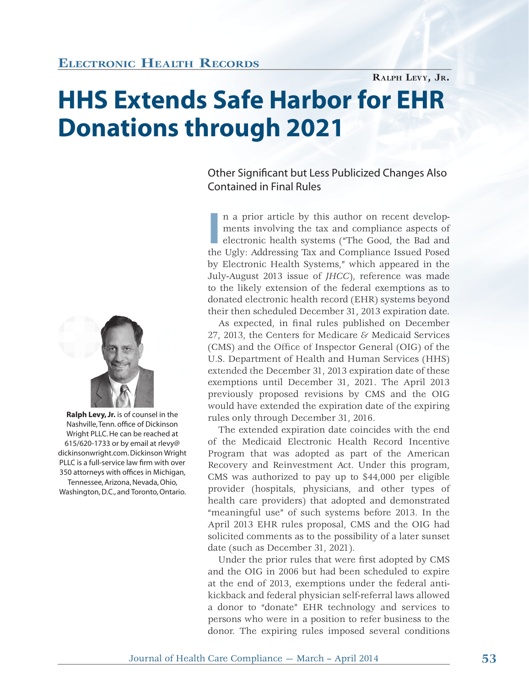# **ELECTRONIC HEALTH RECORDS**

**HHS Extends Safe Harbor for EHR Donations through 2021**

## Other Significant but Less Publicized Changes Also Contained in Final Rules

**RALPH LEVY, JR.**

In a prior article by this author on recent developments involving the tax and compliance aspects of electronic health systems ("The Good, the Bad and the Ugly: Addressing Tax and Compliance Issued Posed n a prior article by this author on recent developments involving the tax and compliance aspects of electronic health systems ("The Good, the Bad and by Electronic Health Systems," which appeared in the July-August 2013 issue of *JHCC*), reference was made to the likely extension of the federal exemptions as to donated electronic health record (EHR) systems beyond their then scheduled December 31, 2013 expiration date.

As expected, in final rules published on December 27, 2013, the Centers for Medicare  $\varepsilon$  Medicaid Services (CMS) and the Office of Inspector General (OIG) of the U.S. Department of Health and Human Services (HHS) extended the December 31, 2013 expiration date of these exemptions until December 31, 2021. The April 2013 previously proposed revisions by CMS and the OIG would have extended the expiration date of the expiring rules only through December 31, 2016.

The extended expiration date coincides with the end of the Medicaid Electronic Health Record Incentive Program that was adopted as part of the American Recovery and Reinvestment Act. Under this program, CMS was authorized to pay up to \$44,000 per eligible provider (hospitals, physicians, and other types of health care providers) that adopted and demonstrated "meaningful use" of such systems before 2013. In the April 2013 EHR rules proposal, CMS and the OIG had solicited comments as to the possibility of a later sunset date (such as December 31, 2021).

Under the prior rules that were first adopted by CMS and the OIG in 2006 but had been scheduled to expire at the end of 2013, exemptions under the federal antikickback and federal physician self-referral laws allowed a donor to "donate" EHR technology and services to persons who were in a position to refer business to the donor. The expiring rules imposed several conditions



 **Ralph Levy, Jr.** is of counsel in the Nashville, Tenn. office of Dickinson Wright PLLC. He can be reached at 615/620-1733 or by email at rlevy@ dickinsonwright.com. Dickinson Wright PLLC is a full-service law firm with over 350 attorneys with offices in Michigan, Tennessee, Arizona, Nevada, Ohio, Washington, D.C., and Toronto, Ontario.